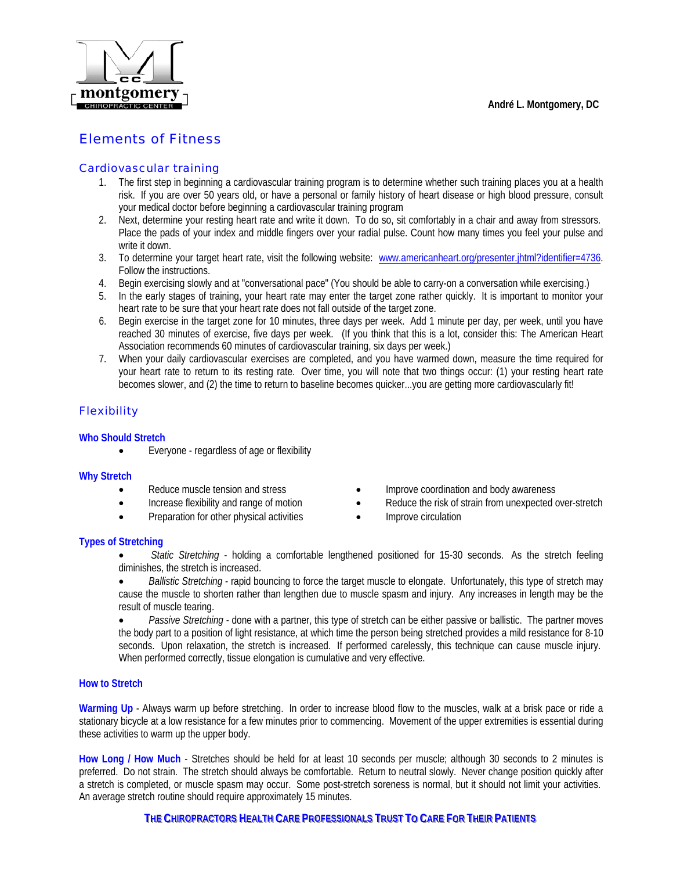

# Elements of Fitness

### Cardiovascular training

- 1. The first step in beginning a cardiovascular training program is to determine whether such training places you at a health risk. If you are over 50 years old, or have a personal or family history of heart disease or high blood pressure, consult your medical doctor before beginning a cardiovascular training program
- 2. Next, determine your resting heart rate and write it down. To do so, sit comfortably in a chair and away from stressors. Place the pads of your index and middle fingers over your radial pulse. Count how many times you feel your pulse and write it down.
- 3. To determine your target heart rate, visit the following website: [www.americanheart.org/presenter.jhtml?identifier=4736.](http://www.americanheart.org/presenter.jhtml?identifier=4736) Follow the instructions.
- 4. Begin exercising slowly and at "conversational pace" (You should be able to carry-on a conversation while exercising.)
- 5. In the early stages of training, your heart rate may enter the target zone rather quickly. It is important to monitor your heart rate to be sure that your heart rate does not fall outside of the target zone.
- 6. Begin exercise in the target zone for 10 minutes, three days per week. Add 1 minute per day, per week, until you have reached 30 minutes of exercise, five days per week. (If you think that this is a lot, consider this: The American Heart Association recommends 60 minutes of cardiovascular training, six days per week.)
- 7. When your daily cardiovascular exercises are completed, and you have warmed down, measure the time required for your heart rate to return to its resting rate. Over time, you will note that two things occur: (1) your resting heart rate becomes slower, and (2) the time to return to baseline becomes quicker...you are getting more cardiovascularly fit!

## **Flexibility**

### **Who Should Stretch**

• Everyone - regardless of age or flexibility

### **Why Stretch**

- 
- 
- Preparation for other physical activities Improve circulation
- Reduce muscle tension and stress Improve coordination and body awareness
- Increase flexibility and range of motion Reduce the risk of strain from unexpected over-stretch
	-

### **Types of Stretching**

- *Static Stretching* holding a comfortable lengthened positioned for 15-30 seconds. As the stretch feeling diminishes, the stretch is increased.
- *Ballistic Stretching* rapid bouncing to force the target muscle to elongate. Unfortunately, this type of stretch may cause the muscle to shorten rather than lengthen due to muscle spasm and injury. Any increases in length may be the result of muscle tearing.

• *Passive Stretching* - done with a partner, this type of stretch can be either passive or ballistic. The partner moves the body part to a position of light resistance, at which time the person being stretched provides a mild resistance for 8-10 seconds. Upon relaxation, the stretch is increased. If performed carelessly, this technique can cause muscle injury. When performed correctly, tissue elongation is cumulative and very effective.

### **How to Stretch**

**Warming Up** - Always warm up before stretching. In order to increase blood flow to the muscles, walk at a brisk pace or ride a stationary bicycle at a low resistance for a few minutes prior to commencing. Movement of the upper extremities is essential during these activities to warm up the upper body.

**How Long / How Much** - Stretches should be held for at least 10 seconds per muscle; although 30 seconds to 2 minutes is preferred. Do not strain. The stretch should always be comfortable. Return to neutral slowly. Never change position quickly after a stretch is completed, or muscle spasm may occur. Some post-stretch soreness is normal, but it should not limit your activities. An average stretch routine should require approximately 15 minutes.

THE CHIROPRACTORS HEALTH CARE PROFESSIONALS TRUST TO CARE FOR THEIR PATIENTS